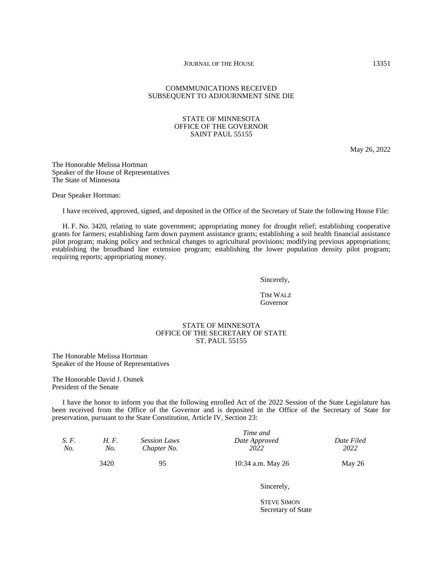## COMMMUNICATIONS RECEIVED SUBSEQUENT TO ADJOURNMENT SINE DIE

## STATE OF MINNESOTA OFFICE OF THE GOVERNOR SAINT PAUL 55155

May 26, 2022

The Honorable Melissa Hortman Speaker of the House of Representatives The State of Minnesota

Dear Speaker Hortman:

I have received, approved, signed, and deposited in the Office of the Secretary of State the following House File:

H. F. No. 3420, relating to state government; appropriating money for drought relief; establishing cooperative grants for farmers; establishing farm down payment assistance grants; establishing a soil health financial assistance pilot program; making policy and technical changes to agricultural provisions; modifying previous appropriations; establishing the broadband line extension program; establishing the lower population density pilot program; requiring reports; appropriating money.

Sincerely,

TIM WALZ Governor

## STATE OF MINNESOTA OFFICE OF THE SECRETARY OF STATE ST. PAUL 55155

The Honorable Melissa Hortman Speaker of the House of Representatives

The Honorable David J. Osmek President of the Senate

I have the honor to inform you that the following enrolled Act of the 2022 Session of the State Legislature has been received from the Office of the Governor and is deposited in the Office of the Secretary of State for preservation, pursuant to the State Constitution, Article IV, Section 23:

| S. F.<br>No. | H. F.<br>No. | <b>Session Laws</b><br>Chapter No. | Time and<br>Date Approved<br>2022 | Date Filed<br>2022 |
|--------------|--------------|------------------------------------|-----------------------------------|--------------------|
|              | 3420         | 95                                 | 10:34 a.m. May 26                 | May $26$           |

Sincerely,

STEVE SIMON Secretary of State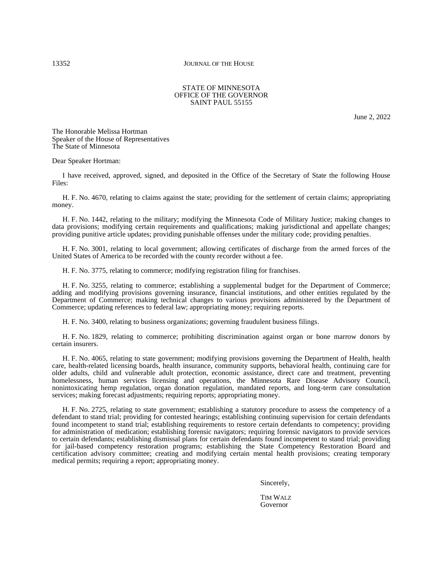### STATE OF MINNESOTA OFFICE OF THE GOVERNOR SAINT PAUL 55155

June 2, 2022

The Honorable Melissa Hortman Speaker of the House of Representatives The State of Minnesota

Dear Speaker Hortman:

I have received, approved, signed, and deposited in the Office of the Secretary of State the following House Files:

H. F. No. 4670, relating to claims against the state; providing for the settlement of certain claims; appropriating money.

H. F. No. 1442, relating to the military; modifying the Minnesota Code of Military Justice; making changes to data provisions; modifying certain requirements and qualifications; making jurisdictional and appellate changes; providing punitive article updates; providing punishable offenses under the military code; providing penalties.

H. F. No. 3001, relating to local government; allowing certificates of discharge from the armed forces of the United States of America to be recorded with the county recorder without a fee.

H. F. No. 3775, relating to commerce; modifying registration filing for franchises.

H. F. No. 3255, relating to commerce; establishing a supplemental budget for the Department of Commerce; adding and modifying provisions governing insurance, financial institutions, and other entities regulated by the Department of Commerce; making technical changes to various provisions administered by the Department of Commerce; updating references to federal law; appropriating money; requiring reports.

H. F. No. 3400, relating to business organizations; governing fraudulent business filings.

H. F. No. 1829, relating to commerce; prohibiting discrimination against organ or bone marrow donors by certain insurers.

H. F. No. 4065, relating to state government; modifying provisions governing the Department of Health, health care, health-related licensing boards, health insurance, community supports, behavioral health, continuing care for older adults, child and vulnerable adult protection, economic assistance, direct care and treatment, preventing homelessness, human services licensing and operations, the Minnesota Rare Disease Advisory Council, nonintoxicating hemp regulation, organ donation regulation, mandated reports, and long-term care consultation services; making forecast adjustments; requiring reports; appropriating money.

H. F. No. 2725, relating to state government; establishing a statutory procedure to assess the competency of a defendant to stand trial; providing for contested hearings; establishing continuing supervision for certain defendants found incompetent to stand trial; establishing requirements to restore certain defendants to competency; providing for administration of medication; establishing forensic navigators; requiring forensic navigators to provide services to certain defendants; establishing dismissal plans for certain defendants found incompetent to stand trial; providing for jail-based competency restoration programs; establishing the State Competency Restoration Board and certification advisory committee; creating and modifying certain mental health provisions; creating temporary medical permits; requiring a report; appropriating money.

Sincerely,

TIM WALZ Governor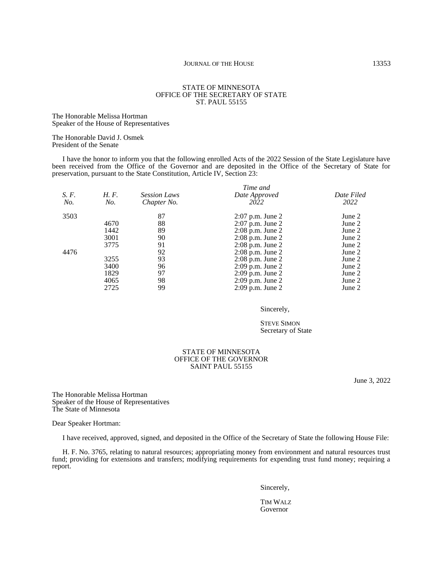#### STATE OF MINNESOTA OFFICE OF THE SECRETARY OF STATE ST. PAUL 55155

The Honorable Melissa Hortman Speaker of the House of Representatives

The Honorable David J. Osmek President of the Senate

I have the honor to inform you that the following enrolled Acts of the 2022 Session of the State Legislature have been received from the Office of the Governor and are deposited in the Office of the Secretary of State for preservation, pursuant to the State Constitution, Article IV, Section 23:

|       | Time and |                     |                      |            |  |  |
|-------|----------|---------------------|----------------------|------------|--|--|
| S. F. | H.F.     | <b>Session Laws</b> | Date Approved        | Date Filed |  |  |
| No.   | No.      | Chapter No.         | 2022                 | 2022       |  |  |
| 3503  |          | 87                  | $2:07$ p.m. June 2   | June 2     |  |  |
|       | 4670     | 88                  | $2:07$ p.m. June 2   | June 2     |  |  |
|       | 1442     | 89                  | $2:08$ p.m. June $2$ | June 2     |  |  |
|       | 3001     | 90                  | $2:08$ p.m. June $2$ | June 2     |  |  |
|       | 3775     | 91                  | $2:08$ p.m. June $2$ | June 2     |  |  |
| 4476  |          | 92                  | $2:08$ p.m. June $2$ | June 2     |  |  |
|       | 3255     | 93                  | $2:08$ p.m. June $2$ | June 2     |  |  |
|       | 3400     | 96                  | $2:09$ p.m. June 2   | June 2     |  |  |
|       | 1829     | 97                  | $2:09$ p.m. June 2   | June 2     |  |  |
|       | 4065     | 98                  | $2:09$ p.m. June $2$ | June 2     |  |  |
|       | 2725     | 99                  | $2:09$ p.m. June $2$ | June 2     |  |  |

Sincerely,

STEVE SIMON Secretary of State

#### STATE OF MINNESOTA OFFICE OF THE GOVERNOR SAINT PAUL 55155

June 3, 2022

The Honorable Melissa Hortman Speaker of the House of Representatives The State of Minnesota

Dear Speaker Hortman:

I have received, approved, signed, and deposited in the Office of the Secretary of State the following House File:

H. F. No. 3765, relating to natural resources; appropriating money from environment and natural resources trust fund; providing for extensions and transfers; modifying requirements for expending trust fund money; requiring a report.

Sincerely,

TIM WALZ Governor